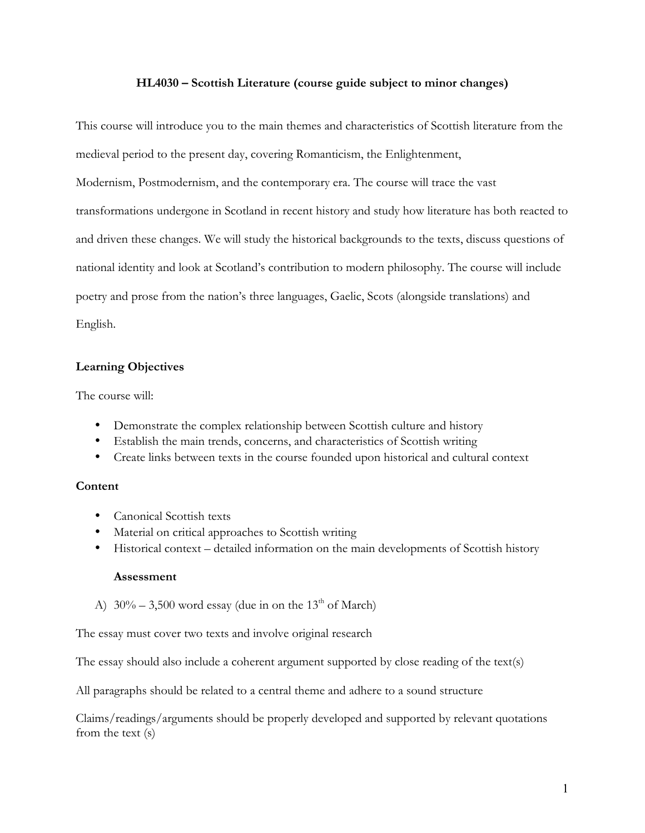#### **HL4030 – Scottish Literature (course guide subject to minor changes)**

This course will introduce you to the main themes and characteristics of Scottish literature from the medieval period to the present day, covering Romanticism, the Enlightenment,

Modernism, Postmodernism, and the contemporary era. The course will trace the vast transformations undergone in Scotland in recent history and study how literature has both reacted to and driven these changes. We will study the historical backgrounds to the texts, discuss questions of national identity and look at Scotland's contribution to modern philosophy. The course will include poetry and prose from the nation's three languages, Gaelic, Scots (alongside translations) and English.

### **Learning Objectives**

The course will:

- Demonstrate the complex relationship between Scottish culture and history
- Establish the main trends, concerns, and characteristics of Scottish writing
- Create links between texts in the course founded upon historical and cultural context

### **Content**

- Canonical Scottish texts
- Material on critical approaches to Scottish writing
- Historical context detailed information on the main developments of Scottish history

#### **Assessment**

A)  $30\% - 3,500$  word essay (due in on the 13<sup>th</sup> of March)

The essay must cover two texts and involve original research

The essay should also include a coherent argument supported by close reading of the text(s)

All paragraphs should be related to a central theme and adhere to a sound structure

Claims/readings/arguments should be properly developed and supported by relevant quotations from the text (s)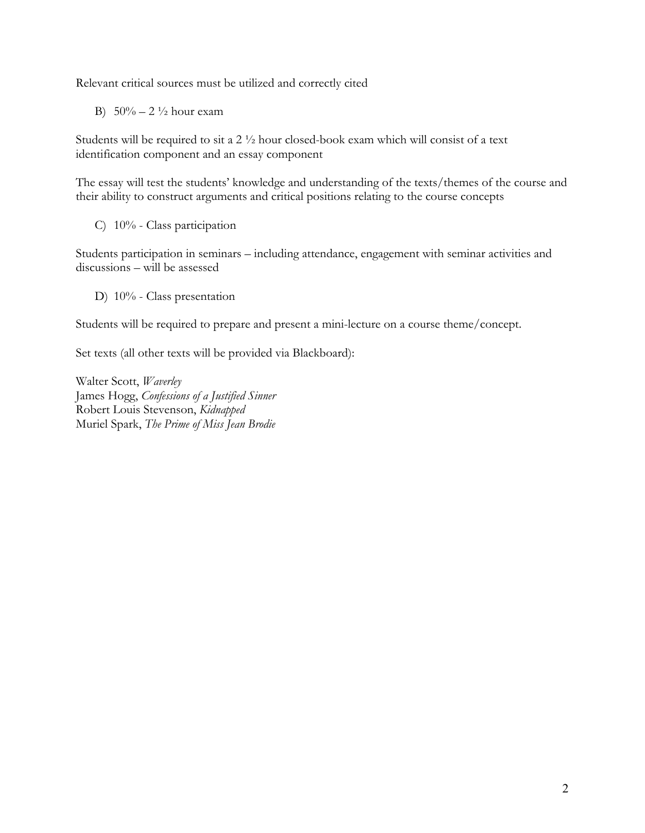Relevant critical sources must be utilized and correctly cited

B)  $50\% - 2\frac{1}{2}$  hour exam

Students will be required to sit a 2 ½ hour closed-book exam which will consist of a text identification component and an essay component

The essay will test the students' knowledge and understanding of the texts/themes of the course and their ability to construct arguments and critical positions relating to the course concepts

C) 10% - Class participation

Students participation in seminars – including attendance, engagement with seminar activities and discussions – will be assessed

D) 10% - Class presentation

Students will be required to prepare and present a mini-lecture on a course theme/concept.

Set texts (all other texts will be provided via Blackboard):

Walter Scott, *Waverley* James Hogg, *Confessions of a Justified Sinner* Robert Louis Stevenson, *Kidnapped* Muriel Spark, *The Prime of Miss Jean Brodie*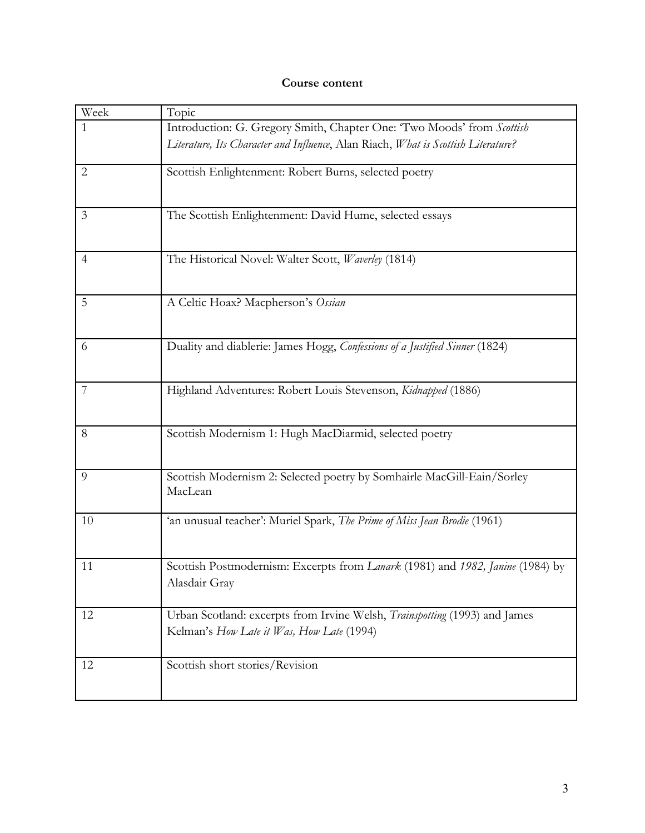# **Course content**

| Week           | Topic                                                                             |
|----------------|-----------------------------------------------------------------------------------|
| $\mathbf{1}$   | Introduction: G. Gregory Smith, Chapter One: 'Two Moods' from Scottish            |
|                | Literature, Its Character and Influence, Alan Riach, What is Scottish Literature? |
| $\overline{2}$ | Scottish Enlightenment: Robert Burns, selected poetry                             |
|                |                                                                                   |
| $\mathfrak{Z}$ | The Scottish Enlightenment: David Hume, selected essays                           |
|                |                                                                                   |
| $\overline{4}$ | The Historical Novel: Walter Scott, Waverley (1814)                               |
|                |                                                                                   |
| 5              | A Celtic Hoax? Macpherson's Ossian                                                |
|                |                                                                                   |
| 6              | Duality and diablerie: James Hogg, Confessions of a Justified Sinner (1824)       |
|                |                                                                                   |
| 7              | Highland Adventures: Robert Louis Stevenson, Kidnapped (1886)                     |
|                |                                                                                   |
| 8              | Scottish Modernism 1: Hugh MacDiarmid, selected poetry                            |
|                |                                                                                   |
| 9              | Scottish Modernism 2: Selected poetry by Somhairle MacGill-Eain/Sorley<br>MacLean |
|                |                                                                                   |
| 10             | 'an unusual teacher': Muriel Spark, The Prime of Miss Jean Brodie (1961)          |
|                |                                                                                   |
| 11             | Scottish Postmodernism: Excerpts from Lanark (1981) and 1982, Janine (1984) by    |
|                | Alasdair Gray                                                                     |
| 12             | Urban Scotland: excerpts from Irvine Welsh, Trainspotting (1993) and James        |
|                | Kelman's How Late it Was, How Late (1994)                                         |
| 12             | Scottish short stories/Revision                                                   |
|                |                                                                                   |
|                |                                                                                   |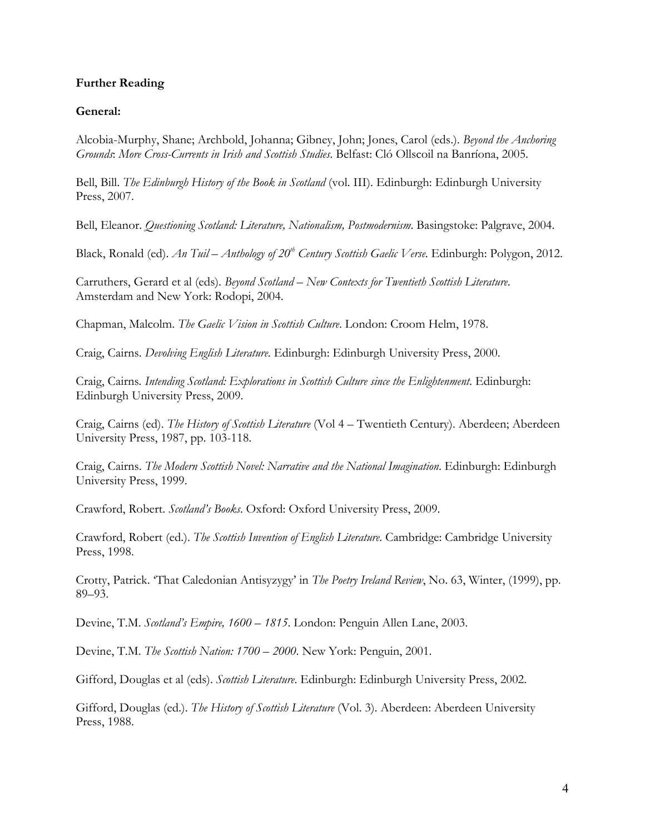### **Further Reading**

### **General:**

Alcobia-Murphy, Shane; Archbold, Johanna; Gibney, John; Jones, Carol (eds.). *Beyond the Anchoring Grounds*: *More Cross-Currents in Irish and Scottish Studies*. Belfast: Cló Ollscoil na Banríona, 2005.

Bell, Bill. *The Edinburgh History of the Book in Scotland* (vol. III). Edinburgh: Edinburgh University Press, 2007.

Bell, Eleanor. *Questioning Scotland: Literature, Nationalism, Postmodernism*. Basingstoke: Palgrave, 2004.

Black, Ronald (ed). *An Tuil – Anthology of 20<sup>th</sup> Century Scottish Gaelic Verse*. Edinburgh: Polygon, 2012.

Carruthers, Gerard et al (eds). *Beyond Scotland – New Contexts for Twentieth Scottish Literature*. Amsterdam and New York: Rodopi, 2004.

Chapman, Malcolm. *The Gaelic Vision in Scottish Culture*. London: Croom Helm, 1978.

Craig, Cairns. *Devolving English Literature*. Edinburgh: Edinburgh University Press, 2000.

Craig, Cairns*. Intending Scotland: Explorations in Scottish Culture since the Enlightenment*. Edinburgh: Edinburgh University Press, 2009.

Craig, Cairns (ed). *The History of Scottish Literature* (Vol 4 – Twentieth Century). Aberdeen; Aberdeen University Press, 1987, pp. 103-118.

Craig, Cairns. *The Modern Scottish Novel: Narrative and the National Imagination*. Edinburgh: Edinburgh University Press, 1999.

Crawford, Robert. *Scotland's Books*. Oxford: Oxford University Press, 2009.

Crawford, Robert (ed.). *The Scottish Invention of English Literature*. Cambridge: Cambridge University Press, 1998.

Crotty, Patrick. 'That Caledonian Antisyzygy' in *The Poetry Ireland Review*, No. 63, Winter, (1999), pp. 89–93.

Devine, T.M. *Scotland's Empire, 1600* – *1815*. London: Penguin Allen Lane, 2003.

Devine, T.M. *The Scottish Nation: 1700* – *2000*. New York: Penguin, 2001.

Gifford, Douglas et al (eds). *Scottish Literature*. Edinburgh: Edinburgh University Press, 2002.

Gifford, Douglas (ed.). *The History of Scottish Literature* (Vol. 3). Aberdeen: Aberdeen University Press, 1988.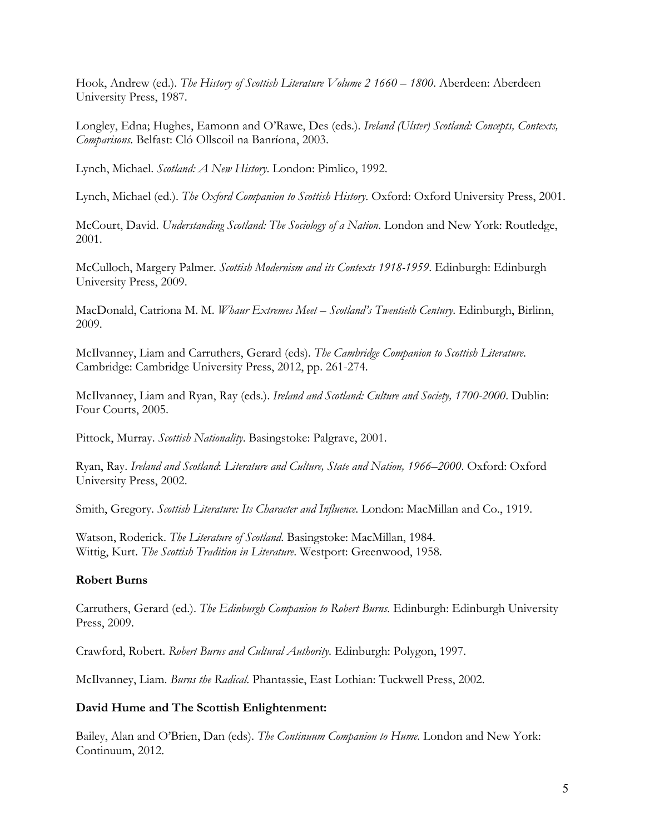Hook, Andrew (ed.). *The History of Scottish Literature Volume 2 1660 – 1800*. Aberdeen: Aberdeen University Press, 1987.

Longley, Edna; Hughes, Eamonn and O'Rawe, Des (eds.). *Ireland (Ulster) Scotland: Concepts, Contexts, Comparisons*. Belfast: Cló Ollscoil na Banríona, 2003.

Lynch, Michael. *Scotland: A New History*. London: Pimlico, 1992.

Lynch, Michael (ed.). *The Oxford Companion to Scottish History*. Oxford: Oxford University Press, 2001.

McCourt, David. *Understanding Scotland: The Sociology of a Nation*. London and New York: Routledge, 2001.

McCulloch, Margery Palmer. *Scottish Modernism and its Contexts 1918-1959*. Edinburgh: Edinburgh University Press, 2009.

MacDonald, Catriona M. M. *Whaur Extremes Meet – Scotland's Twentieth Century*. Edinburgh, Birlinn, 2009.

McIlvanney, Liam and Carruthers, Gerard (eds). *The Cambridge Companion to Scottish Literature*. Cambridge: Cambridge University Press, 2012, pp. 261-274.

McIlvanney, Liam and Ryan, Ray (eds.). *Ireland and Scotland: Culture and Society, 1700-2000*. Dublin: Four Courts, 2005.

Pittock, Murray. *Scottish Nationality*. Basingstoke: Palgrave, 2001.

Ryan, Ray. *Ireland and Scotland*: *Literature and Culture, State and Nation, 1966–2000*. Oxford: Oxford University Press, 2002.

Smith, Gregory. *Scottish Literature: Its Character and Influence*. London: MacMillan and Co., 1919.

Watson, Roderick. *The Literature of Scotland*. Basingstoke: MacMillan, 1984. Wittig, Kurt. *The Scottish Tradition in Literature*. Westport: Greenwood, 1958.

#### **Robert Burns**

Carruthers, Gerard (ed.). *The Edinburgh Companion to Robert Burns*. Edinburgh: Edinburgh University Press, 2009.

Crawford, Robert. *Robert Burns and Cultural Authority*. Edinburgh: Polygon, 1997.

McIlvanney, Liam. *Burns the Radical*. Phantassie, East Lothian: Tuckwell Press, 2002.

#### **David Hume and The Scottish Enlightenment:**

Bailey, Alan and O'Brien, Dan (eds). *The Continuum Companion to Hume*. London and New York: Continuum, 2012.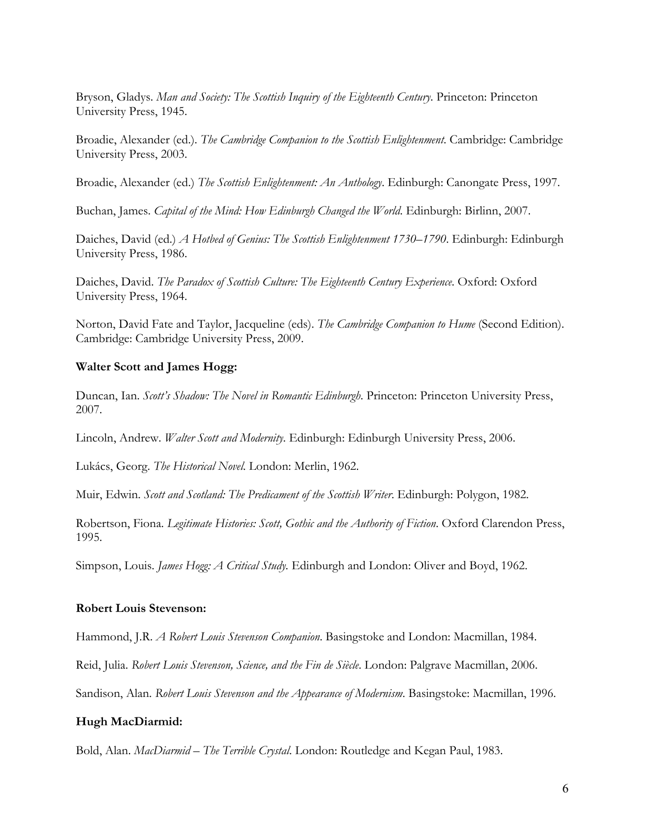Bryson, Gladys. *Man and Society: The Scottish Inquiry of the Eighteenth Century*. Princeton: Princeton University Press, 1945.

Broadie, Alexander (ed.). *The Cambridge Companion to the Scottish Enlightenment*. Cambridge: Cambridge University Press, 2003.

Broadie, Alexander (ed.) *The Scottish Enlightenment: An Anthology*. Edinburgh: Canongate Press, 1997.

Buchan, James. *Capital of the Mind: How Edinburgh Changed the World*. Edinburgh: Birlinn, 2007.

Daiches, David (ed.) *A Hotbed of Genius: The Scottish Enlightenment 1730–1790*. Edinburgh: Edinburgh University Press, 1986.

Daiches, David. *The Paradox of Scottish Culture: The Eighteenth Century Experience*. Oxford: Oxford University Press, 1964.

Norton, David Fate and Taylor, Jacqueline (eds). *The Cambridge Companion to Hume* (Second Edition). Cambridge: Cambridge University Press, 2009.

#### **Walter Scott and James Hogg:**

Duncan, Ian. *Scott's Shadow: The Novel in Romantic Edinburgh*. Princeton: Princeton University Press, 2007.

Lincoln, Andrew. *Walter Scott and Modernity*. Edinburgh: Edinburgh University Press, 2006.

Lukács, Georg. *The Historical Novel*. London: Merlin, 1962.

Muir, Edwin. *Scott and Scotland: The Predicament of the Scottish Writer*. Edinburgh: Polygon, 1982.

Robertson, Fiona. *Legitimate Histories: Scott, Gothic and the Authority of Fiction*. Oxford Clarendon Press, 1995.

Simpson, Louis. *James Hogg: A Critical Study.* Edinburgh and London: Oliver and Boyd, 1962.

#### **Robert Louis Stevenson:**

Hammond, J.R. *A Robert Louis Stevenson Companion*. Basingstoke and London: Macmillan, 1984.

Reid, Julia. *Robert Louis Stevenson, Science, and the Fin de Siècle*. London: Palgrave Macmillan, 2006.

Sandison, Alan. *Robert Louis Stevenson and the Appearance of Modernism*. Basingstoke: Macmillan, 1996.

#### **Hugh MacDiarmid:**

Bold, Alan. *MacDiarmid – The Terrible Crystal*. London: Routledge and Kegan Paul, 1983.